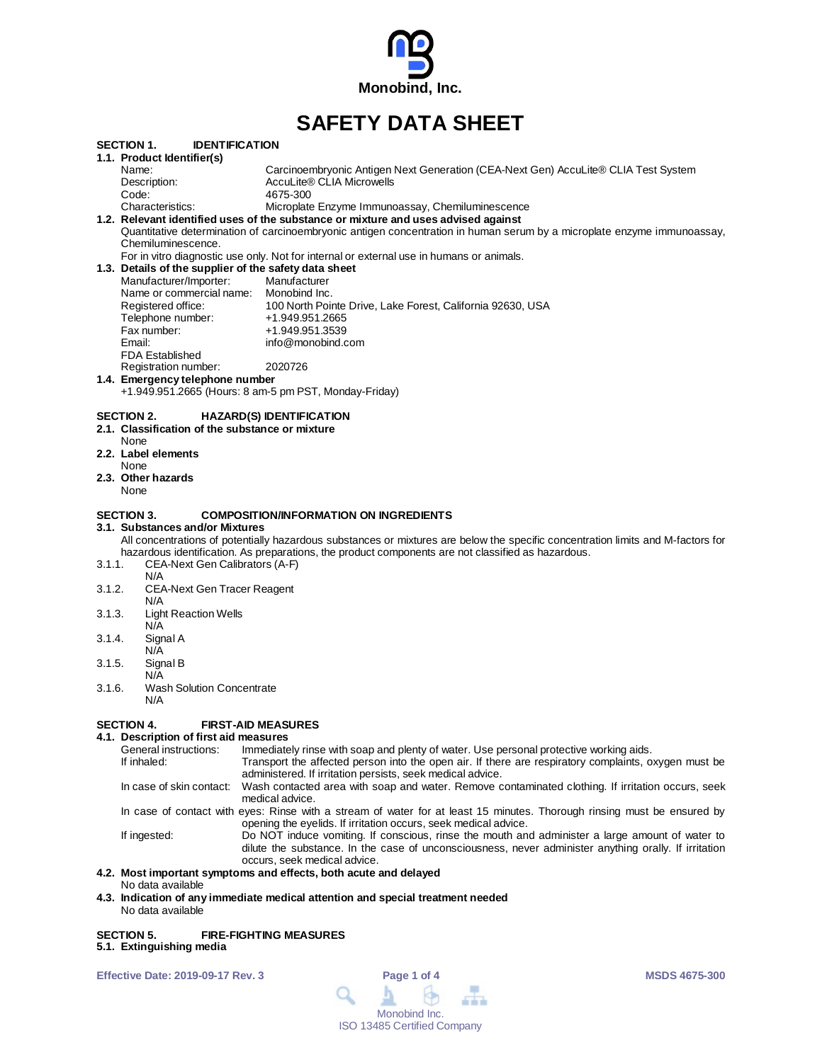

# **SAFETY DATA SHEET**

|        | <b>IDENTIFICATION</b><br>SECTION 1.                   |                                                                                                                                  |
|--------|-------------------------------------------------------|----------------------------------------------------------------------------------------------------------------------------------|
|        | 1.1. Product Identifier(s)                            |                                                                                                                                  |
|        | Name:                                                 | Carcinoembryonic Antigen Next Generation (CEA-Next Gen) AccuLite® CLIA Test System                                               |
|        | Description:                                          | AccuLite® CLIA Microwells                                                                                                        |
|        | Code:                                                 | 4675-300                                                                                                                         |
|        | Characteristics:                                      | Microplate Enzyme Immunoassay, Chemiluminescence                                                                                 |
|        |                                                       | 1.2. Relevant identified uses of the substance or mixture and uses advised against                                               |
|        |                                                       | Quantitative determination of carcinoembryonic antigen concentration in human serum by a microplate enzyme immunoassay,          |
|        | Chemiluminescence.                                    |                                                                                                                                  |
|        |                                                       | For in vitro diagnostic use only. Not for internal or external use in humans or animals.                                         |
|        | 1.3. Details of the supplier of the safety data sheet |                                                                                                                                  |
|        | Manufacturer/Importer:                                | Manufacturer                                                                                                                     |
|        | Name or commercial name: Monobind Inc.                |                                                                                                                                  |
|        | Registered office:                                    | 100 North Pointe Drive, Lake Forest, California 92630, USA                                                                       |
|        | Telephone number:                                     | +1.949.951.2665                                                                                                                  |
|        | Fax number:                                           | +1.949.951.3539                                                                                                                  |
|        | Email:                                                | info@monobind.com                                                                                                                |
|        | <b>FDA Established</b>                                |                                                                                                                                  |
|        | Registration number:                                  | 2020726                                                                                                                          |
|        | 1.4. Emergency telephone number                       |                                                                                                                                  |
|        |                                                       | +1.949.951.2665 (Hours: 8 am-5 pm PST, Monday-Friday)                                                                            |
|        |                                                       |                                                                                                                                  |
|        | SECTION 2.                                            | <b>HAZARD(S) IDENTIFICATION</b>                                                                                                  |
|        | 2.1. Classification of the substance or mixture       |                                                                                                                                  |
|        | None                                                  |                                                                                                                                  |
|        | 2.2. Label elements<br>None                           |                                                                                                                                  |
|        |                                                       |                                                                                                                                  |
|        | 2.3. Other hazards<br>None                            |                                                                                                                                  |
|        |                                                       |                                                                                                                                  |
|        | <b>SECTION 3.</b>                                     | <b>COMPOSITION/INFORMATION ON INGREDIENTS</b>                                                                                    |
|        | 3.1. Substances and/or Mixtures                       |                                                                                                                                  |
|        |                                                       | All concentrations of potentially hazardous substances or mixtures are below the specific concentration limits and M-factors for |
|        |                                                       | hazardous identification. As preparations, the product components are not classified as hazardous.                               |
| 3.1.1. | CEA-Next Gen Calibrators (A-F)                        |                                                                                                                                  |
|        | N/A                                                   |                                                                                                                                  |
| 3.1.2. | CEA-Next Gen Tracer Reagent                           |                                                                                                                                  |
|        | N/A                                                   |                                                                                                                                  |
| 3.1.3. | <b>Light Reaction Wells</b>                           |                                                                                                                                  |
|        | N/A                                                   |                                                                                                                                  |
| 3.1.4. | Signal A                                              |                                                                                                                                  |
|        | N/A                                                   |                                                                                                                                  |
| 3.1.5. | Signal B                                              |                                                                                                                                  |
|        | N/A                                                   |                                                                                                                                  |
| 3.1.6. | <b>Wash Solution Concentrate</b>                      |                                                                                                                                  |
|        | N/A                                                   |                                                                                                                                  |
|        |                                                       |                                                                                                                                  |
|        | <b>FIRST-AID MEASURES</b><br>SECTION 4.               |                                                                                                                                  |
|        | 4.1. Description of first aid measures                |                                                                                                                                  |
|        |                                                       | Osasaal kestunetisest — Japaneslistelmines mitte sesa saaladestustuud metaa Hesperandestustus manikaan siste                     |

#### General instructions: Immediately rinse with soap and plenty of water. Use personal protective working aids.<br>If inhaled: Transport the affected person into the open air. If there are respiratory complaints, o Transport the affected person into the open air. If there are respiratory complaints, oxygen must be administered. If irritation persists, seek medical advice. In case of skin contact: Wash contacted area with soap and water. Remove contaminated clothing. If irritation occurs, seek medical advice. In case of contact with eyes: Rinse with a stream of water for at least 15 minutes. Thorough rinsing must be ensured by opening the eyelids. If irritation occurs, seek medical advice. If ingested: Do NOT induce vomiting. If conscious, rinse the mouth and administer a large amount of water to dilute the substance. In the case of unconsciousness, never administer anything orally. If irritation occurs, seek medical advice.

## **4.2. Most important symptoms and effects, both acute and delayed**

- No data available
- **4.3. Indication of any immediate medical attention and special treatment needed** No data available

#### **SECTION 5. FIRE-FIGHTING MEASURES 5.1. Extinguishing media**

**Effective Date: 2019-09-17 Rev. 3 Page 1 of 4 MSDS 4675-300**

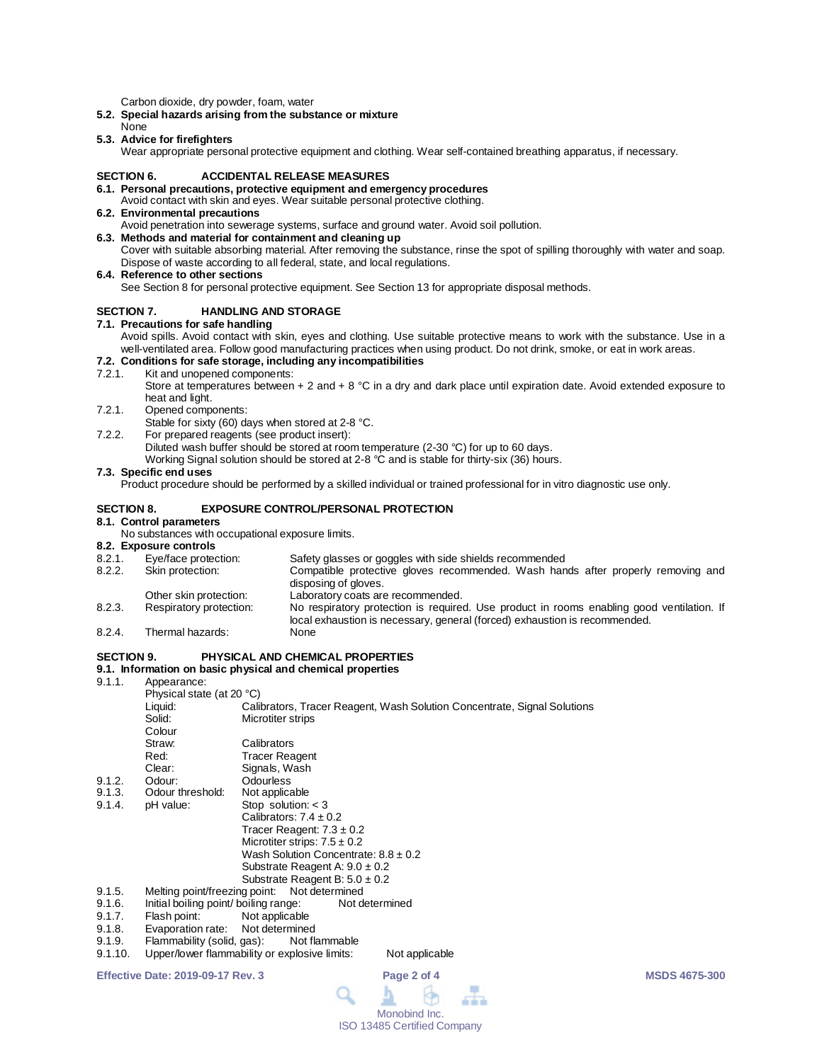Carbon dioxide, dry powder, foam, water

- **5.2. Special hazards arising from the substance or mixture**
- None **5.3. Advice for firefighters**

Wear appropriate personal protective equipment and clothing. Wear self-contained breathing apparatus, if necessary.

#### **SECTION 6. ACCIDENTAL RELEASE MEASURES**

- **6.1. Personal precautions, protective equipment and emergency procedures**
- Avoid contact with skin and eyes. Wear suitable personal protective clothing. **6.2. Environmental precautions**
- Avoid penetration into sewerage systems, surface and ground water. Avoid soil pollution.
- **6.3. Methods and material for containment and cleaning up** Cover with suitable absorbing material. After removing the substance, rinse the spot of spilling thoroughly with water and soap.

Dispose of waste according to all federal, state, and local regulations.

**6.4. Reference to other sections**

See Section 8 for personal protective equipment. See Section 13 for appropriate disposal methods.

### **SECTION 7. HANDLING AND STORAGE**

**7.1. Precautions for safe handling**

Avoid spills. Avoid contact with skin, eyes and clothing. Use suitable protective means to work with the substance. Use in a well-ventilated area. Follow good manufacturing practices when using product. Do not drink, smoke, or eat in work areas.

## **7.2. Conditions for safe storage, including any incompatibilities**

Kit and unopened components:

Store at temperatures between + 2 and + 8  $^{\circ}$ C in a dry and dark place until expiration date. Avoid extended exposure to heat and light.

- 7.2.1. Opened components:
- Stable for sixty (60) days when stored at 2-8 °C.

7.2.2. For prepared reagents (see product insert): Diluted wash buffer should be stored at room temperature (2-30 °C) for up to 60 days. Working Signal solution should be stored at 2-8 °C and is stable for thirty-six (36) hours.

#### **7.3. Specific end uses**

Product procedure should be performed by a skilled individual or trained professional for in vitro diagnostic use only.

### **SECTION 8. EXPOSURE CONTROL/PERSONAL PROTECTION**

#### **8.1. Control parameters**

No substances with occupational exposure limits.

# **8.2. Exposure controls**

- 8.2.1. Eye/face protection: Safety glasses or goggles with side shields recommended<br>8.2.2. Skin protection: Compatible protective gloves recommended. Wash han
- Skin protection: Compatible protective gloves recommended. Wash hands after properly removing and disposing of gloves.
- Other skin protection: Laboratory coats are recommended.<br>
Respiratory protection: No respiratory protection is required 8.2.3. Respiratory protection: No respiratory protection is required. Use product in rooms enabling good ventilation. If local exhaustion is necessary, general (forced) exhaustion is recommended. 8.2.4. Thermal hazards: None
- 

### **SECTION 9. PHYSICAL AND CHEMICAL PROPERTIES**

### **9.1. Information on basic physical and chemical properties**

9.1.1. Appearance:

|        | Physical state (at 20 °C)                               |                                                                          |  |  |
|--------|---------------------------------------------------------|--------------------------------------------------------------------------|--|--|
|        | Liquid:                                                 | Calibrators, Tracer Reagent, Wash Solution Concentrate, Signal Solutions |  |  |
|        | Solid:                                                  | Microtiter strips                                                        |  |  |
|        | Colour                                                  |                                                                          |  |  |
|        | Straw:                                                  | Calibrators                                                              |  |  |
|        | Red:                                                    | <b>Tracer Reagent</b>                                                    |  |  |
|        | Clear:                                                  | Signals, Wash                                                            |  |  |
| 9.1.2. | Odour:                                                  | Odourless                                                                |  |  |
| 9.1.3. | Odour threshold:                                        | Not applicable                                                           |  |  |
| 9.1.4. | pH value:                                               | Stop solution: $<$ 3                                                     |  |  |
|        |                                                         | Calibrators: $7.4 \pm 0.2$                                               |  |  |
|        |                                                         | Tracer Reagent: $7.3 \pm 0.2$                                            |  |  |
|        |                                                         | Microtiter strips: $7.5 \pm 0.2$                                         |  |  |
|        |                                                         | Wash Solution Concentrate: $8.8 \pm 0.2$                                 |  |  |
|        |                                                         | Substrate Reagent A: $9.0 \pm 0.2$                                       |  |  |
|        |                                                         | Substrate Reagent B: $5.0 \pm 0.2$                                       |  |  |
| 9.1.5. |                                                         | Melting point/freezing point: Not determined                             |  |  |
| 9.1.6. | Initial boiling point/ boiling range:<br>Not determined |                                                                          |  |  |
| 9.1.7. | Flash point:                                            | Not applicable                                                           |  |  |
|        |                                                         |                                                                          |  |  |

- 
- 9.1.8. Evaporation rate: Not determined<br>9.1.9. Flammability (solid, gas): Not flammable Flammability (solid, gas):
- 9.1.10. Upper/lower flammability or explosive limits: Not applicable

**Effective Date: 2019-09-17 Rev. 3 Page 2 of 4 MSDS 4675-300**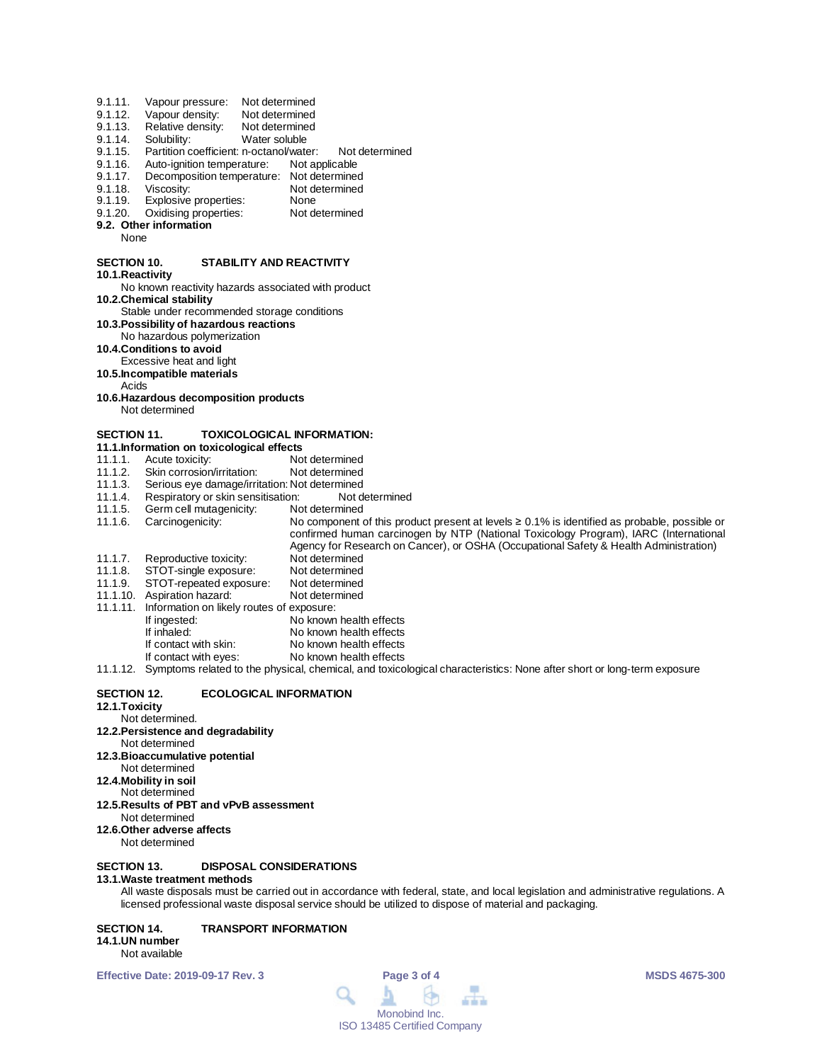| 9.1.11.            | Vapour pressure:                                      | Not determined                                                                                                                                                                             |
|--------------------|-------------------------------------------------------|--------------------------------------------------------------------------------------------------------------------------------------------------------------------------------------------|
| 9.1.12.            | Vapour density:                                       | Not determined                                                                                                                                                                             |
| 9.1.13.            | Relative density:                                     | Not determined                                                                                                                                                                             |
| 9.1.14.            | Solubility:                                           | Water soluble                                                                                                                                                                              |
| 9.1.15.            | Partition coefficient: n-octanol/water:               | Not determined                                                                                                                                                                             |
| 9.1.16.            | Auto-ignition temperature:                            | Not applicable                                                                                                                                                                             |
| 9.1.17.            | Decomposition temperature: Not determined             |                                                                                                                                                                                            |
| 9.1.18.            | Viscosity:                                            | Not determined                                                                                                                                                                             |
| 9.1.19.            | Explosive properties:                                 | None                                                                                                                                                                                       |
| 9.1.20.            | Oxidising properties:                                 | Not determined                                                                                                                                                                             |
|                    | 9.2. Other information                                |                                                                                                                                                                                            |
| None               |                                                       |                                                                                                                                                                                            |
| <b>SECTION 10.</b> |                                                       | STABILITY AND REACTIVITY                                                                                                                                                                   |
| 10.1. Reactivity   |                                                       |                                                                                                                                                                                            |
|                    | <b>10.2. Chemical stability</b>                       | No known reactivity hazards associated with product                                                                                                                                        |
|                    | Stable under recommended storage conditions           |                                                                                                                                                                                            |
|                    | 10.3. Possibility of hazardous reactions              |                                                                                                                                                                                            |
|                    | No hazardous polymerization                           |                                                                                                                                                                                            |
|                    | 10.4. Conditions to avoid<br>Excessive heat and light |                                                                                                                                                                                            |
|                    |                                                       |                                                                                                                                                                                            |
| Acids              | 10.5.Incompatible materials                           |                                                                                                                                                                                            |
|                    | 10.6. Hazardous decomposition products                |                                                                                                                                                                                            |
|                    | Not determined                                        |                                                                                                                                                                                            |
|                    |                                                       |                                                                                                                                                                                            |
| <b>SECTION 11.</b> |                                                       | <b>TOXICOLOGICAL INFORMATION:</b>                                                                                                                                                          |
|                    | 11.1. Information on toxicological effects            |                                                                                                                                                                                            |
| 11.1.1.            | Acute toxicity:                                       | Not determined                                                                                                                                                                             |
| 11.1.2.            | Skin corrosion/irritation:                            | Not determined                                                                                                                                                                             |
| 11.1.3.            | Serious eye damage/irritation: Not determined         |                                                                                                                                                                                            |
| 11.1.4.            | Respiratory or skin sensitisation:                    | Not determined                                                                                                                                                                             |
| 11.1.5.            | Germ cell mutagenicity:                               | Not determined                                                                                                                                                                             |
| 11.1.6.            | Carcinogenicity:                                      | No component of this product present at levels $\geq 0.1\%$ is identified as probable, possible or<br>confirmed human carcinogen by NTP (National Toxicology Program), IARC (International |
|                    |                                                       | Agency for Research on Cancer), or OSHA (Occupational Safety & Health Administration)                                                                                                      |
| 11.1.7.            | Reproductive toxicity:                                | Not determined                                                                                                                                                                             |
| 11.1.8.            | STOT-single exposure:                                 | Not determined                                                                                                                                                                             |
| 11.1.9.            | STOT-repeated exposure:                               | Not determined                                                                                                                                                                             |
|                    | 11.1.10. Aspiration hazard:                           | Not determined                                                                                                                                                                             |
| 11.1.11.           | Information on likely routes of exposure:             |                                                                                                                                                                                            |
|                    | If ingested:                                          | No known health effects                                                                                                                                                                    |
|                    | If inhaled:                                           | No known health effects                                                                                                                                                                    |
|                    | If contact with skin:                                 | No known health effects                                                                                                                                                                    |
|                    | If contact with eyes:                                 | No known health effects                                                                                                                                                                    |
|                    |                                                       | 11.1.12. Symptoms related to the physical, chemical, and toxicological characteristics: None after short or long-term exposure                                                             |
| <b>SECTION 12.</b> |                                                       | <b>ECOLOGICAL INFORMATION</b>                                                                                                                                                              |
| 12.1.Toxicity      |                                                       |                                                                                                                                                                                            |

- Not determined. **12.2.Persistence and degradability**
- Not determined
- **12.3.Bioaccumulative potential**
- Not determined
- **12.4.Mobility in soil** Not determined
- **12.5.Results of PBT and vPvB assessment**
- Not determined
- **12.6.Other adverse affects**
- Not determined

### **SECTION 13. DISPOSAL CONSIDERATIONS**

### **13.1.Waste treatment methods**

All waste disposals must be carried out in accordance with federal, state, and local legislation and administrative regulations. A licensed professional waste disposal service should be utilized to dispose of material and packaging.

## **SECTION 14. TRANSPORT INFORMATION**

## **14.1.UN number**

Not available